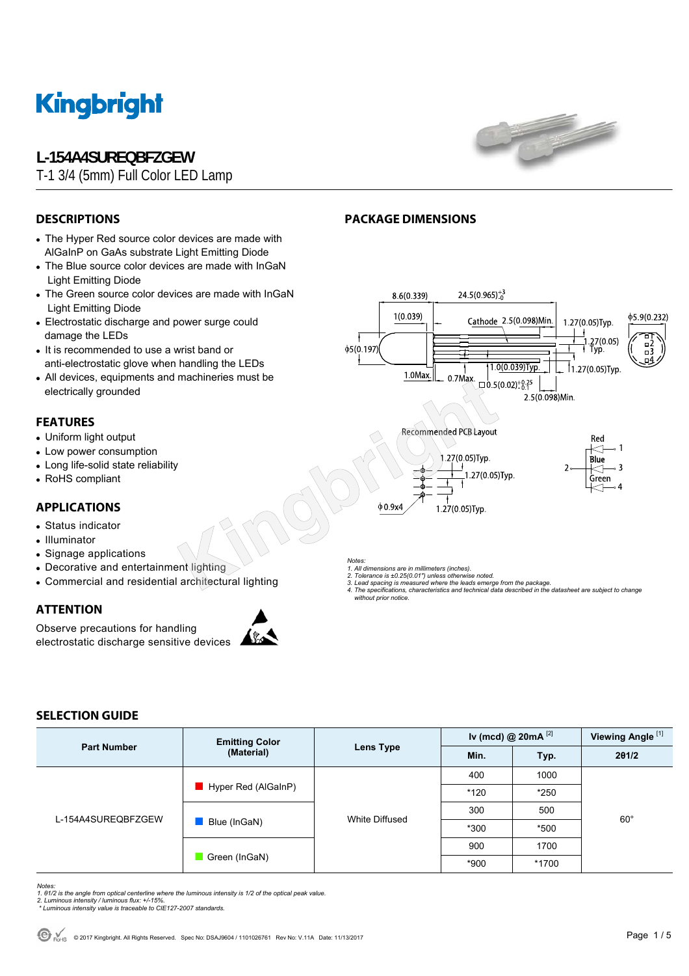

# **L-154A4SUREQBFZGEW**

T-1 3/4 (5mm) Full Color LED Lamp



φ5.9(0.232)

пŽ

1.27(0.05)Tvp.

 $27(0.05)$ 

## **DESCRIPTIONS**

- The Hyper Red source color devices are made with AlGaInP on GaAs substrate Light Emitting Diode
- The Blue source color devices are made with InGaN Light Emitting Diode
- The Green source color devices are made with InGaN Light Emitting Diode
- Electrostatic discharge and power surge could damage the LEDs
- It is recommended to use a wrist band or anti-electrostatic glove when handling the LEDs
- All devices, equipments and machineries must be electrically grounded

### **FEATURES**

- Uniform light output
- Low power consumption
- Long life-solid state reliability
- RoHS compliant

## **APPLICATIONS**

- Status indicator
- Illuminator
- Signage applications
- Decorative and entertainment lighting
- Commercial and residential architectural lighting

## **ATTENTION**

Observe precautions for handling electrostatic discharge sensitive devices



*Notes:* 

- 
- 
- *3. Lead spacing is measured where the leads emerge from the package. 4. The specifications, characteristics and technical data described in the datasheet are subject to change without prior notice.*

 $24.5(0.965)^{+3}_{0}$ 

Cathode 2.5(0.098)Min.

### **SELECTION GUIDE**

| <b>Part Number</b> | <b>Emitting Color</b><br>(Material) | Lens Type      | Iv (mcd) @ $20mA$ <sup>[2]</sup> |        | Viewing Angle <sup>[1]</sup> |  |
|--------------------|-------------------------------------|----------------|----------------------------------|--------|------------------------------|--|
|                    |                                     |                | Min.                             | Typ.   | 201/2                        |  |
| L-154A4SUREQBFZGEW | Hyper Red (AlGaInP)                 | White Diffused | 400                              | 1000   |                              |  |
|                    |                                     |                | $*120$                           | $*250$ | $60^\circ$                   |  |
|                    | Blue (InGaN)                        |                | 300                              | 500    |                              |  |
|                    |                                     |                | $*300$                           | *500   |                              |  |
|                    | Green (InGaN)                       |                | 900                              | 1700   |                              |  |
|                    |                                     |                | $*900$                           | *1700  |                              |  |

*Notes:* 

- *1. θ1/2 is the angle from optical centerline where the luminous intensity is 1/2 of the optical peak value. 2. Luminous intensity / luminous flux: +/-15%.*
- *\* Luminous intensity value is traceable to CIE127-2007 standards.*
- 

# **PACKAGE DIMENSIONS**

8.6(0.339)  $1(0.039)$ 

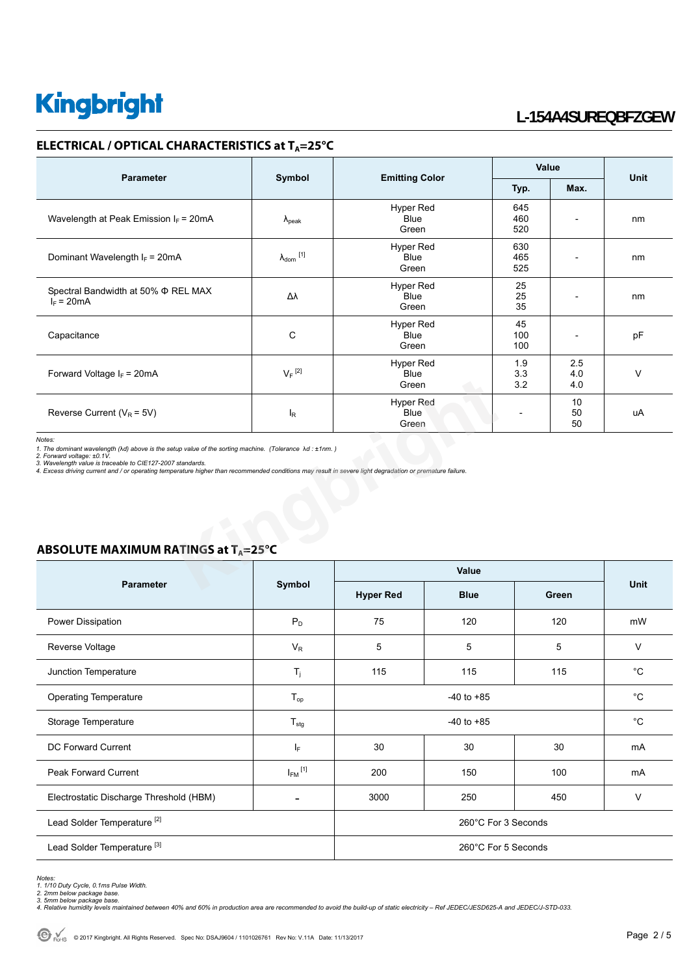### **ELECTRICAL / OPTICAL CHARACTERISTICS at T<sub>A</sub>=25°C**

|                                                                                                                                                                                                                                                                                                                                                                                                                                                   |                      |                                          | Value             |                   |             |  |
|---------------------------------------------------------------------------------------------------------------------------------------------------------------------------------------------------------------------------------------------------------------------------------------------------------------------------------------------------------------------------------------------------------------------------------------------------|----------------------|------------------------------------------|-------------------|-------------------|-------------|--|
| <b>Parameter</b>                                                                                                                                                                                                                                                                                                                                                                                                                                  | Symbol               | <b>Emitting Color</b>                    | Typ.              | Max.              | <b>Unit</b> |  |
| Wavelength at Peak Emission $I_F = 20 \text{mA}$                                                                                                                                                                                                                                                                                                                                                                                                  | $\lambda_{\rm peak}$ | <b>Hyper Red</b><br>Blue<br>Green        | 645<br>460<br>520 |                   | nm          |  |
| Dominant Wavelength $I_F = 20 \text{mA}$                                                                                                                                                                                                                                                                                                                                                                                                          | $\lambda_{dom}$ [1]  | <b>Hyper Red</b><br><b>Blue</b><br>Green | 630<br>465<br>525 |                   | nm          |  |
| Spectral Bandwidth at 50% $\Phi$ REL MAX<br>$I_F = 20mA$                                                                                                                                                                                                                                                                                                                                                                                          | Δλ                   | <b>Hyper Red</b><br>Blue<br>Green        | 25<br>25<br>35    |                   | nm          |  |
| Capacitance                                                                                                                                                                                                                                                                                                                                                                                                                                       | C                    | Hyper Red<br><b>Blue</b><br>Green        | 45<br>100<br>100  |                   | pF          |  |
| Forward Voltage $I_F = 20mA$                                                                                                                                                                                                                                                                                                                                                                                                                      | $V_F$ <sup>[2]</sup> | Hyper Red<br><b>Blue</b><br>Green        | 1.9<br>3.3<br>3.2 | 2.5<br>4.0<br>4.0 | $\vee$      |  |
| Reverse Current ( $V_R$ = 5V)                                                                                                                                                                                                                                                                                                                                                                                                                     | l <sub>R</sub>       | <b>Hyper Red</b><br><b>Blue</b><br>Green |                   | 10<br>50<br>50    | uA          |  |
| Notes:<br>1. The dominant wavelength ( $\lambda d$ ) above is the setup value of the sorting machine. (Tolerance $\lambda d$ : ±1nm.)<br>2. Forward voltage: ±0.1V.<br>3. Wavelength value is traceable to CIE127-2007 standards.<br>4. Excess driving current and / or operating temperature higher than recommended conditions may result in severe light degradation or premature failure.<br>ABSOLUTE MAXIMUM RATINGS at T <sub>A</sub> =25°C |                      |                                          |                   |                   |             |  |
|                                                                                                                                                                                                                                                                                                                                                                                                                                                   |                      | <b>Value</b>                             |                   |                   |             |  |
| <b>Parameter</b>                                                                                                                                                                                                                                                                                                                                                                                                                                  | Symbol               |                                          |                   |                   | <b>Unit</b> |  |

|                                         | Symbol                   | Value               |             |       |              |
|-----------------------------------------|--------------------------|---------------------|-------------|-------|--------------|
| <b>Parameter</b>                        |                          | <b>Hyper Red</b>    | <b>Blue</b> | Green | <b>Unit</b>  |
| Power Dissipation                       | $P_D$                    | 75                  | 120         | 120   | mW           |
| Reverse Voltage                         | $V_{R}$                  | 5                   | 5           | 5     | V            |
| Junction Temperature                    | $T_j$                    | 115                 | 115         | 115   | $^{\circ}$ C |
| <b>Operating Temperature</b>            | $T_{op}$                 | $-40$ to $+85$      |             |       | $^{\circ}C$  |
| Storage Temperature                     | $T_{\text{stg}}$         | $-40$ to $+85$      |             |       | $^{\circ}C$  |
| <b>DC Forward Current</b>               | -le                      | 30                  | 30          | 30    | mA           |
| <b>Peak Forward Current</b>             | $I_{FM}$ <sup>[1]</sup>  | 200                 | 150         | 100   | mA           |
| Electrostatic Discharge Threshold (HBM) | $\overline{\phantom{a}}$ | 3000                | 250         | 450   | $\vee$       |
| Lead Solder Temperature <sup>[2]</sup>  |                          | 260°C For 3 Seconds |             |       |              |
| Lead Solder Temperature <sup>[3]</sup>  |                          | 260°C For 5 Seconds |             |       |              |

### **ABSOLUTE MAXIMUM RATINGS at TA=25°C**

Notes:<br>1. 1/10 Duty Cycle, 0.1ms Pulse Width.<br>2. 2mm below package base.<br>4. Relative humidity levels maintained between 40% and 60% in production area are recommended to avoid the build-up of static electricity – Ref JEDEC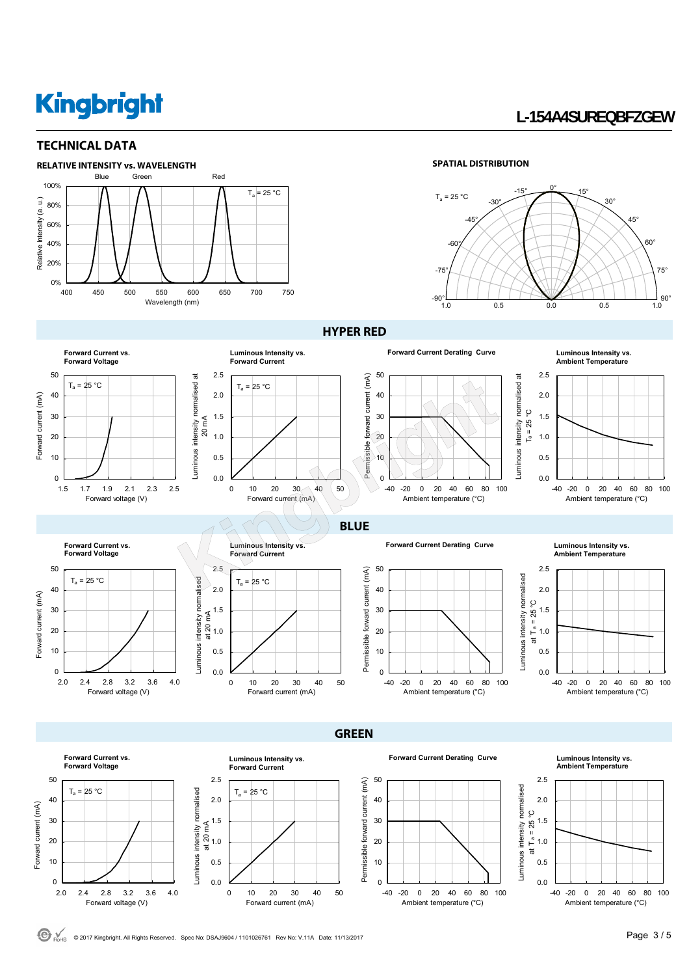### **TECHNICAL DATA**



#### **SPATIAL DISTRIBUTION**



### **HYPER RED**



**GREEN** 



Forward current (mA)

Forward current (mA)

**Forward Current Derating Curve Luminous Intensity vs.** 

**Ambient Temperature**







C ROHS © 2017 Kingbright. All Rights Reserved. Spec No: DSAJ9604 / 1101026761 Rev No: V.11A Date: 11/13/2017 **Page 3 / 5 Page 3 / 5**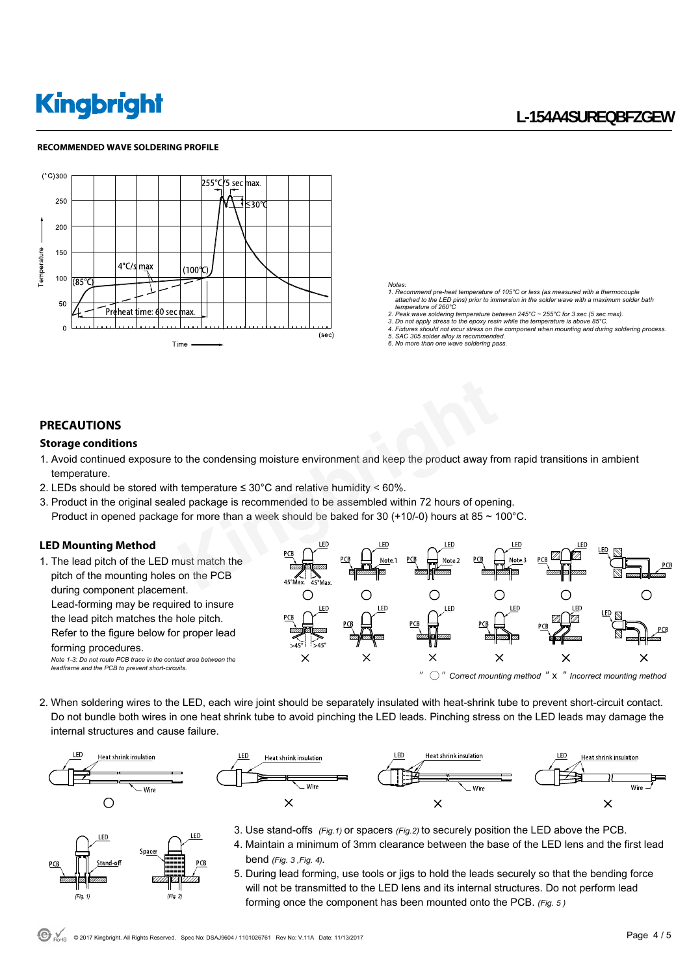#### **RECOMMENDED WAVE SOLDERING PROFILE**



- *Notes: 1. Recommend pre-heat temperature of 105°C or less (as measured with a thermocouple attached to the LED pins) prior to immersion in the solder wave with a maximum solder bath temperature of 260°C*
- *2. Peak wave soldering temperature between 245°C ~ 255°C for 3 sec (5 sec max). 3. Do not apply stress to the epoxy resin while the temperature is above 85°C.*
- *4. Fixtures should not incur stress on the component when mounting and during soldering process.*
- *5. SAC 305 solder alloy is recommended.*
- *6. No more than one wave soldering pass.*

#### **PRECAUTIONS**

#### **Storage conditions**

- 1. Avoid continued exposure to the condensing moisture environment and keep the product away from rapid transitions in ambient temperature.
- 2. LEDs should be stored with temperature  $\leq 30^{\circ}$ C and relative humidity  $\leq 60\%$ .
- 3. Product in the original sealed package is recommended to be assembled within 72 hours of opening. Product in opened package for more than a week should be baked for 30 (+10/-0) hours at 85  $\sim$  100 $^{\circ}$ C.

#### **LED Mounting Method**

1. The lead pitch of the LED must match the pitch of the mounting holes on the PCB during component placement. Lead-forming may be required to insure the lead pitch matches the hole pitch. Refer to the figure below for proper lead forming procedures. *Note 1-3: Do not route PCB trace in the contact area between the leadframe and the PCB to prevent short-circuits.* 



2. When soldering wires to the LED, each wire joint should be separately insulated with heat-shrink tube to prevent short-circuit contact. Do not bundle both wires in one heat shrink tube to avoid pinching the LED leads. Pinching stress on the LED leads may damage the internal structures and cause failure.





- LED ED. Space and of (Fig.  $1$  $(Fig. 2)$
- 3. Use stand-offs *(Fig.1)* or spacers *(Fig.2)* to securely position the LED above the PCB.
- 4. Maintain a minimum of 3mm clearance between the base of the LED lens and the first lead bend *(Fig. 3 ,Fig. 4).*
- 5. During lead forming, use tools or jigs to hold the leads securely so that the bending force will not be transmitted to the LED lens and its internal structures. Do not perform lead forming once the component has been mounted onto the PCB. *(Fig. 5 )*